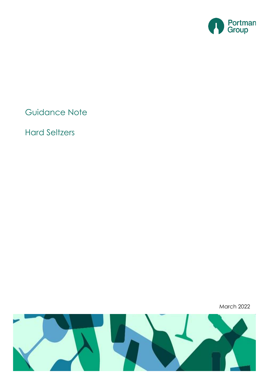

Guidance Note

Hard Seltzers

March 2022

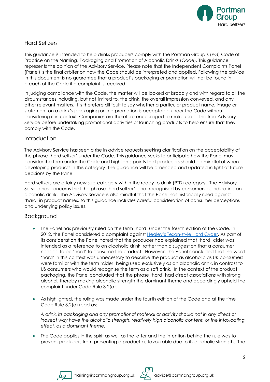

# Hard Seltzers

This guidance is intended to help drinks producers comply with the Portman Group's (PG) Code of Practice on the Naming, Packaging and Promotion of Alcoholic Drinks (Code). This guidance represents the opinion of the Advisory Service. Please note that the Independent Complaints Panel (Panel) is the final arbiter on how the Code should be interpreted and applied. Following the advice in this document is no guarantee that a product's packaging or promotion will not be found in breach of the Code if a complaint is received.

In judging compliance with the Code, the matter will be looked at broadly and with regard to all the circumstances including, but not limited to, the drink, the overall impression conveyed, and any other relevant matters. It is therefore difficult to say whether a particular product name, image or statement on a drink's packaging or in a promotion is acceptable under the Code without considering it in context. Companies are therefore encouraged to make use of the free Advisory Service before undertaking promotional activities or launching products to help ensure that they comply with the Code.

# **Introduction**

The Advisory Service has seen a rise in advice requests seeking clarification on the acceptability of the phrase 'hard seltzer' under the Code. This guidance seeks to anticipate how the Panel may consider the term under the Code and highlights points that producers should be mindful of when developing products in this category. The guidance will be amended and updated in light of future decisions by the Panel.

Hard seltzers are a fairly new sub-category within the ready to drink (RTD) category. The Advisory Service has concerns that the phrase 'hard seltzer' is not recognised by consumers as indicating an alcoholic drink. The Advisory Service is also mindful that the Panel has historically ruled against 'hard' in product names, so this guidance includes careful consideration of consumer perceptions and underlying policy issues.

# **Backaround**

- The Panel has previously ruled on the term 'hard' under the fourth edition of the Code. In 2012, the Panel considered a complaint against Healey's Texan[-style Hard Cyder.](https://www.portmangroup.org.uk/healeys-texan-style-hard-cyder-2/) As part of its consideration the Panel noted that the producer had explained that 'hard' cider was intended as a reference to an alcoholic drink, rather than a suggestion that a consumer needed to be 'hard' to consume the product. However, the Panel concluded that the word 'hard' in this context was unnecessary to describe the product as alcoholic as UK consumers were familiar with the term 'cider' being used exclusively as an alcoholic drink, in contrast to US consumers who would recognise the term as a soft drink. In the context of the product packaging, the Panel concluded that the phrase 'hard' had direct associations with strong alcohol, thereby making alcoholic strength the dominant theme and accordingly upheld the complaint under Code Rule 3.2(a).
- As highlighted, the ruling was made under the fourth edition of the Code and at the time Code Rule 3.2(a) read as:

*A drink, its packaging and any promotional material or activity should not in any direct or indirect way have the alcoholic strength, relatively high alcoholic content, or the intoxicating effect, as a dominant theme.*

The Code applies in the spirit as well as the letter and the intention behind the rule was to prevent producers from presenting a product as favourable due to its alcoholic strength. The



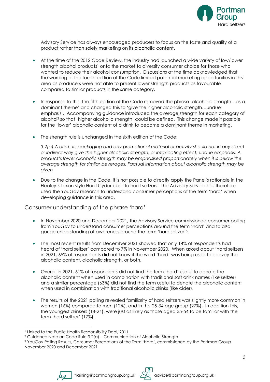

Advisory Service has always encouraged producers to focus on the taste and quality of a product rather than solely marketing on its alcoholic content.

- At the time of the 2012 Code Review, the industry had launched a wide variety of low/lower strength alcohol products<sup>1</sup> onto the market to diversify consumer choice for those who wanted to reduce their alcohol consumption. Discussions at the time acknowledged that the wording of the fourth edition of the Code limited potential marketing opportunities in this area as producers were not able to present lower strength products as favourable compared to similar products in the same category.
- In response to this, the fifth edition of the Code removed the phrase 'alcoholic strength…as a dominant theme' and changed this to 'give the higher alcoholic strength…undue emphasis'. Accompanying guidance introduced the average strength for each category of alcohol<sup>2</sup> so that 'higher alcoholic strength' could be defined. This change made it possible for the 'lower' alcoholic content of a drink to become a dominant theme in marketing.
- The strength rule is unchanged in the sixth edition of the Code:

*3.2(a) A drink, its packaging and any promotional material or activity should not in any direct or indirect way give the higher alcoholic strength, or intoxicating effect, undue emphasis. A product's lower alcoholic strength may be emphasised proportionately when it is below the average strength for similar beverages. Factual information about alcoholic strength may be given*

• Due to the change in the Code, it is not possible to directly apply the Panel's rationale in the Healey's Texan-style Hard Cyder case to hard seltzers. The Advisory Service has therefore used the YouGov research to understand consumer perceptions of the term 'hard' when developing guidance in this area.

#### Consumer understanding of the phrase 'hard'

- In November 2020 and December 2021, the Advisory Service commissioned consumer polling from YouGov to understand consumer perceptions around the term 'hard' and to also gauge understanding of awareness around the term 'hard seltzer'3.
- The most recent results from December 2021 showed that only 14% of respondents had heard of 'hard seltzer' compared to 7% in November 2020. When asked about 'hard seltzers' in 2021, 65% of respondents did not know if the word 'hard' was being used to convey the alcoholic content, alcoholic strength, or both.
- Overall in 2021, 61% of respondents did not find the term 'hard' useful to denote the alcoholic content when used in combination with traditional soft drink names (like seltzer) and a similar percentage (63%) did not find the term useful to denote the alcoholic content when used in combination with traditional alcoholic drinks (like cider).
- The results of the 2021 polling revealed familiarity of hard seltzers was slightly more common in women (16%) compared to men (12%), and in the 25-34 age group (27%). In addition this, the youngest drinkers (18-24), were just as likely as those aged 35-54 to be familiar with the term 'hard seltzer' (17%).



<sup>1</sup> Linked to the Public Health Responsibility Deal, 2011

<sup>2</sup> Guidance Note on Code Rule 3.2(a) – Communication of Alcoholic Strength

<sup>&</sup>lt;sup>3</sup> YouGov Polling Results, Consumer Perceptions of the Term 'Hard', commissioned by the Portman Group November 2020 and December 2021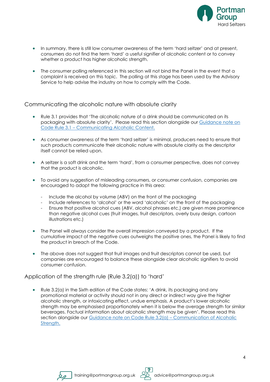

- In summary, there is still low consumer awareness of the term 'hard seltzer' and at present, consumers do not find the term 'hard' a useful signifier of alcoholic content or to convey whether a product has higher alcoholic strength.
- The consumer polling referenced in this section will not bind the Panel in the event that a complaint is received on this topic. The polling at this stage has been used by the Advisory Service to help advise the industry on how to comply with the Code.

Communicating the alcoholic nature with absolute clarity

- Rule 3.1 provides that 'The alcoholic nature of a drink should be communicated on its packaging with absolute clarity'. Please read this section alongside our [Guidance note on](https://1kp8gk3a0fdl3qf9kb2wo9ei-wpengine.netdna-ssl.com/wp-content/uploads/2020/06/Guidance-Note-Rule-3.1-Communicating-Alcoholic-Content.pdf)  Code Rule 3.1 – [Communicating Alcoholic Content.](https://1kp8gk3a0fdl3qf9kb2wo9ei-wpengine.netdna-ssl.com/wp-content/uploads/2020/06/Guidance-Note-Rule-3.1-Communicating-Alcoholic-Content.pdf)
- As consumer awareness of the term 'hard seltzer' is minimal, producers need to ensure that such products communicate their alcoholic nature with absolute clarity as the descriptor itself cannot be relied upon.
- A seltzer is a soft drink and the term 'hard', from a consumer perspective, does not convey that the product is alcoholic.
- To avoid any suggestion of misleading consumers, or consumer confusion, companies are encouraged to adopt the following practice in this area:
	- Include the alcohol by volume (ABV) on the front of the packaging
	- Include references to 'alcohol' or the word 'alcoholic' on the front of the packaging
	- Ensure that positive alcohol cues (ABV, alcohol phrases etc.) are given more prominence than negative alcohol cues (fruit images, fruit descriptors, overly busy design, cartoon illustrations etc.)
- The Panel will always consider the overall impression conveyed by a product. If the cumulative impact of the negative cues outweighs the positive ones, the Panel is likely to find the product in breach of the Code.
- The above does not suggest that fruit images and fruit descriptors cannot be used, but companies are encouraged to balance these alongside clear alcoholic signifiers to avoid consumer confusion.

Application of the strength rule (Rule 3.2(a)) to 'hard'

• Rule 3.2(a) in the Sixth edition of the Code states: 'A drink, its packaging and any promotional material or activity should not in any direct or indirect way give the higher alcoholic strength, or intoxicating effect, undue emphasis. A product's lower alcoholic strength may be emphasised proportionately when it is below the average strength for similar beverages. Factual information about alcoholic strength may be given'. Please read this section alongside our [Guidance note on Code Rule 3.2\(a\)](https://1kp8gk3a0fdl3qf9kb2wo9ei-wpengine.netdna-ssl.com/wp-content/uploads/2020/06/Guidance-Note-3.2a-Communication-of-Alcoholic-Strength.pdf) – Communication of Alcoholic [Strength.](https://1kp8gk3a0fdl3qf9kb2wo9ei-wpengine.netdna-ssl.com/wp-content/uploads/2020/06/Guidance-Note-3.2a-Communication-of-Alcoholic-Strength.pdf)



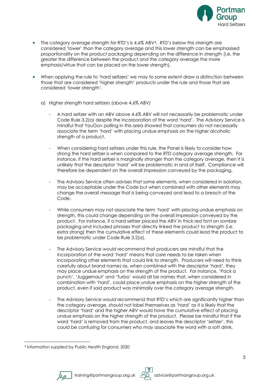

- The category average strength for RTD's is 4.6% ABV4. RTD's below this strength are considered 'lower' than the category average and this lower strength can be emphasised proportionality on the product packaging depending on the difference in strength (i.e. the greater the difference between the product and the category average the more emphasis/virtue that can be placed on the lower strength).
- When applying the rule to 'hard seltzers' we may to some extent draw a distinction between those that are considered 'higher strength' products under the rule and those that are considered 'lower strength'.
	- a) Higher strength hard seltzers (above 4.6% ABV)
		- A hard seltzer with an ABV above 4.6% ABV will not necessarily be problematic under Code Rule 3.2(a) despite the incorporation of the word 'hard'. The Advisory Service is mindful that YouGov polling in this area showed that consumers do not necessarily associate the term 'hard' with placing undue emphasis on the higher alcoholic strength of a product.
		- When considering hard seltzers under this rule, the Panel is likely to consider how strong the hard seltzer is when compared to the RTD category average strength. For instance, if the hard seltzer is marginally stronger than the category average, then it is unlikely that the descriptor 'hard' will be problematic in and of itself. Compliance will therefore be dependent on the overall impression conveyed by the packaging.
		- The Advisory Service often advises that some elements, when considered in isolation, may be acceptable under the Code but when combined with other elements may change the overall message that is being conveyed and lead to a breach of the Code.
		- While consumers may not associate the term 'hard' with placing undue emphasis on strength, this could change depending on the overall impression conveyed by the product. For instance, if a hard seltzer placed the ABV in thick red font on sombre packaging and included phrases that directly linked the product to strength (i.e. extra strong) then the cumulative effect of these elements could lead the product to be problematic under Code Rule 3.2(a).
		- The Advisory Service would recommend that producers are mindful that the incorporation of the word 'hard' means that care needs to be taken when incorporating other elements that could link to strength. Producers will need to think carefully about brand names as, when combined with the descriptor 'hard', they may place undue emphasis on the strength of the product. For instance, 'Pack a punch', 'Juggernaut' and 'Turbo' would all be names that, when considered in combination with 'hard', could place undue emphasis on the higher strength of the product, even if said product was minimally over the category average strength.
		- The Advisory Service would recommend that RTD's which are significantly higher than the category average, should not label themselves as 'hard' as it is likely that the descriptor 'hard' and the higher ABV would have the cumulative effect of placing undue emphasis on the higher strength of the product. Please be mindful that if the word 'hard' is removed from the product, and leaves the descriptor 'seltzer', this could be confusing for consumers who may associate the word with a soft drink.



<sup>4</sup> Information supplied by Public Health England, 2020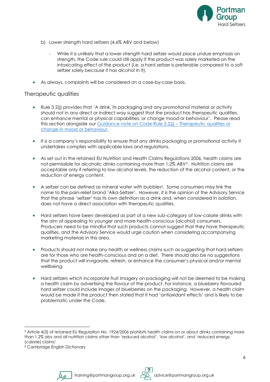

- b) Lower strength hard seltzers (4.6% ABV and below)
	- While it is unlikely that a lower strength hard seltzer would place undue emphasis on strength, the Code rule could still apply if the product was solely marketed on the intoxicating effect of the product (i.e. a hard seltzer is preferable compared to a soft seltzer solely because it has alcohol in it).
- As always, complaints will be considered on a case-by-case basis.

## Therapeutic qualities

- Rule 3.2(j) provides that 'A drink, its packaging and any promotional material or activity should not in any direct or indirect way suggest that the product has therapeutic qualities, can enhance mental or physical capabilities, or change mood or behaviour'. Please read this section alongside our [Guidance note on Code Rule 3.2\(j\)](https://1kp8gk3a0fdl3qf9kb2wo9ei-wpengine.netdna-ssl.com/wp-content/uploads/2020/06/Rule-3.2j-Therapeutic-qualities-enhancing-mental-and-or-physical-capabilities-and-change-in-mood-or-behaviour.pdf) – Therapeutic qualities or [change in mood or behaviour.](https://1kp8gk3a0fdl3qf9kb2wo9ei-wpengine.netdna-ssl.com/wp-content/uploads/2020/06/Rule-3.2j-Therapeutic-qualities-enhancing-mental-and-or-physical-capabilities-and-change-in-mood-or-behaviour.pdf)
- It is a company's responsibility to ensure that any drinks packaging or promotional activity it undertakes complies with applicable laws and regulations.
- As set out in the retained EU Nutrition and Health Claims Regulations 2006, health claims are not permissible for alcoholic drinks containing more than 1.2% ABV<sup>5</sup>. Nutrition claims are acceptable only if referring to low alcohol levels, the reduction of the alcohol content, or the reduction of energy content.
- A seltzer can be defined as mineral water with bubbles<sup>6</sup>. Some consumers may link the name to the pain-relief brand 'Alka-Seltzer'. However, it is the opinion of the Advisory Service that the phrase 'seltzer' has its own definition as a drink and, when considered in isolation, does not have a direct association with therapeutic qualities.
- Hard seltzers have been developed as part of a new sub-category of low-calorie drinks with the aim of appealing to younger and more health-conscious (alcohol) consumers. Producers need to be mindful that such products cannot suggest that they have therapeutic qualities, and the Advisory Service would urge caution when considering accompanying marketing materials in this area.
- Products should not make any health or wellness claims such as suggesting that hard seltzers are for those who are health-conscious and on a diet. There should also be no suggestions that the product will invigorate, refresh, or enhance the consumer's physical and/or mental wellbeing.
- Hard seltzers which incorporate fruit imagery on packaging will not be deemed to be making a health claim by advertising the flavour of the product. For instance, a blueberry flavoured hard seltzer could include images of blueberries on the packaging. However, a health claim would be made if the product then stated that it had 'antioxidant effects' and is likely to be problematic under the Code.





<sup>5</sup> Article 4(3) of retained EU Regulation No. 1924/2006 prohibits health claims on or about drinks containing more than 1.2% abv and all nutrition claims other than 'reduced alcohol', 'low alcohol', and 'reduced energy (calorie) claims'

<sup>6</sup> Cambridge English Dictionary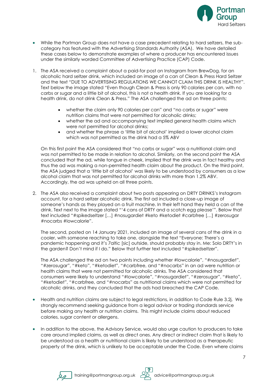

- While the Portman Group does not have a case precedent relating to hard seltzers, the subcategory has featured with the Advertising Standards Authority (ASA). We have detailed these cases below to demonstrate examples of where a producer has encountered issues under the similarly worded Committee of Advertising Practice (CAP) Code.
- 1. The ASA received a complaint about a paid-for post on Instagram from BrewDog, for an alcoholic hard seltzer drink, which included an image of a can of Clean & Press Hard Seltzer and the text "DUE TO ADVERTISING REGULATIONS WE CANNOT CLAIM THIS DRINK IS HEALTHY". Text below the image stated "Even though Clean & Press is only 90 calories per can, with no carbs or sugar and a little bit of alcohol, this is not a health drink. If you are looking for a health drink, do not drink Clean & Press." The ASA challenged the ad on three points;
	- whether the claim only 90 calories per can" and "no carbs or sugar" were nutrition claims that were not permitted for alcoholic drinks;
	- whether the ad and accompanying text implied general health claims which were not permitted for alcohol drinks;
	- and whether the phrase a 'little bit of alcohol' implied a lower alcohol claim which was not permitted as the drink had a 5% ABV

On this first point the ASA considered that "no carbs or sugar" was a nutritional claim and was not permitted to be made in relation to alcohol. Similarly, on the second point the ASA concluded that the ad, while tongue in cheek, implied that the drink was in fact healthy and thus the ad was making a non-permitted health claim about the product. On the third point, the ASA judged that a 'little bit of alcohol' was likely to be understood by consumers as a low alcohol claim that was not permitted for alcohol drinks with more than 1.2% ABV. Accordingly, the ad was upheld on all three points.

2. The ASA also received a complaint about two posts appearing on DRTY DRINKS's Instagram account, for a hard seltzer alcoholic drink. The first ad included a close-up image of someone's hands as they played on a fruit machine. In their left hand they held a can of the drink. Text next to the image stated "'4 cans of DRTY and a scotch egg please'". Below that text included "#spikedseltzer […] #nosugardiet #keto #ketodiet #carbfree […] #zerosugar #nocarbs #lowcalorie".

The second, posted on 14 January 2021, included an image of several cans of the drink in a cooler, with someone reaching to take one, alongside the text "Everyone: There's a pandemic happening and it's 7altic [sic] outside, should probably stay in. Me: Solo DRTY's in the garden? Don't mind if I do." Below that further text included "#spikedseltzer".

The ASA challenged the ad on two points including whether #lowcalorie", "#nosugardiet", "#zerosugar", "#keto", "#ketodiet", "#carbfree, and "#nocarbs" in an ad were nutrition or health claims that were not permitted for alcoholic drinks. The ASA considered that consumers were likely to understand "#lowcalorie", "#nosugardiet", "#zerosugar", "#keto", "#ketodiet", "#carbfree, and "#nocarbs" as nutritional claims which were not permitted for alcoholic drinks, and they concluded that the ads had breached the CAP Code.

- Health and nutrition claims are subject to legal restrictions, in addition to Code Rule 3.2j. We strongly recommend seeking guidance from a legal advisor or trading standards service before making any health or nutrition claims. This might include claims about reduced calories, sugar content or allergens.
- In addition to the above, the Advisory Service, would also urge caution to producers to take care around implied claims, as well as direct ones. Any direct or indirect claim that is likely to be understood as a health or nutritional claim is likely to be understood as a therapeutic property of the drink, which is unlikely to be acceptable under the Code. Even where claims



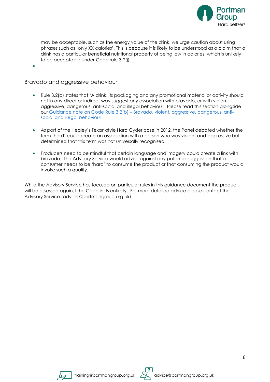

may be acceptable, such as the energy value of the drink, we urge caution about using phrases such as 'only XX calories'. This is because it is likely to be understood as a claim that a drink has a particular beneficial nutritional property of being low in calories, which is unlikely to be acceptable under Code rule 3.2(j).

•

## Bravado and aggressive behaviour

- Rule 3.2(b) states that 'A drink, its packaging and any promotional material or activity should not in any direct or indirect way suggest any association with bravado, or with violent, aggressive, dangerous, anti-social and illegal behaviour. Please read this section alongside our Guidance note on Code Rule 3.2(b) – [Bravado, violent, aggressive, dangerous, anti](https://1kp8gk3a0fdl3qf9kb2wo9ei-wpengine.netdna-ssl.com/wp-content/uploads/2020/06/Guidance-Note-Rule-3.2b-Bravado-violent-aggessive-dangerous-anti-social-and-illegal-behaviour.pdf)[social and illegal behaviour.](https://1kp8gk3a0fdl3qf9kb2wo9ei-wpengine.netdna-ssl.com/wp-content/uploads/2020/06/Guidance-Note-Rule-3.2b-Bravado-violent-aggessive-dangerous-anti-social-and-illegal-behaviour.pdf)
- As part of the Healey's Texan-style Hard Cyder case in 2012, the Panel debated whether the term 'hard' could create an association with a person who was violent and aggressive but determined that this term was not universally recognised.
- Producers need to be mindful that certain language and imagery could create a link with bravado. The Advisory Service would advise against any potential suggestion that a consumer needs to be 'hard' to consume the product or that consuming the product would invoke such a quality.

While the Advisory Service has focused on particular rules in this guidance document the product will be assessed against the Code in its entirety. For more detailed advice please contact the Advisory Service (advice@portmangroup.org.uk).